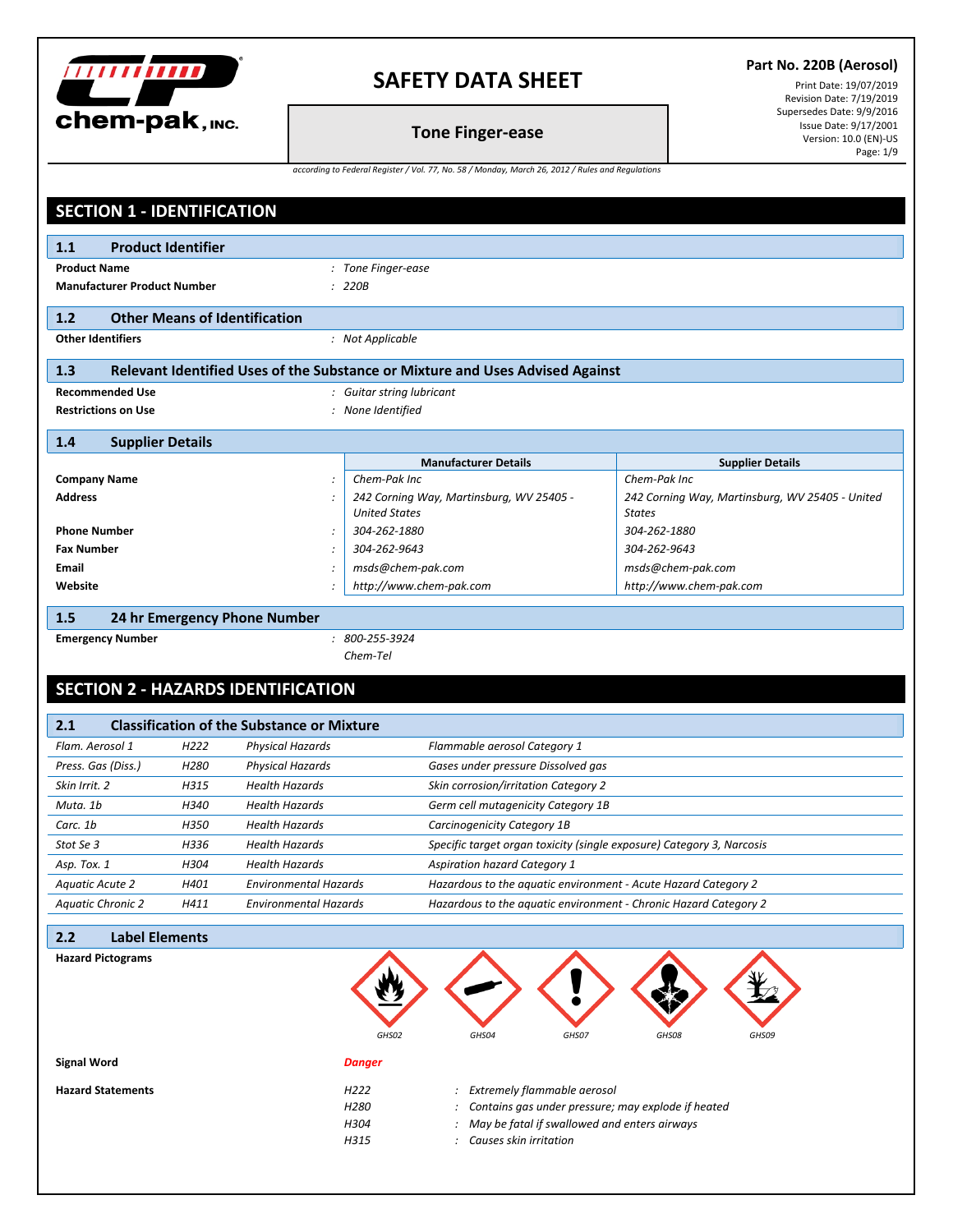

#### **Part No. 220B (Aerosol)**

Print Date: 19/07/2019 Revision Date: 7/19/2019 Supersedes Date: 9/9/2016 Issue Date: 9/17/2001 Version: 10.0 (EN)-US Page: 1/9

## **Tone Finger-ease**

*according to Federal Register / Vol. 77, No. 58 / Monday, March 26, 2012 / Rules and Regulations*

|                                           | <b>SECTION 1 - IDENTIFICATION</b>  |                  |                                                   |                                                                               |                                                 |  |
|-------------------------------------------|------------------------------------|------------------|---------------------------------------------------|-------------------------------------------------------------------------------|-------------------------------------------------|--|
| 1.1                                       | <b>Product Identifier</b>          |                  |                                                   |                                                                               |                                                 |  |
| <b>Product Name</b><br>: Tone Finger-ease |                                    |                  |                                                   |                                                                               |                                                 |  |
|                                           | <b>Manufacturer Product Number</b> |                  |                                                   | : 220B                                                                        |                                                 |  |
|                                           |                                    |                  |                                                   |                                                                               |                                                 |  |
| 1.2                                       |                                    |                  | <b>Other Means of Identification</b>              |                                                                               |                                                 |  |
|                                           | <b>Other Identifiers</b>           |                  |                                                   | : Not Applicable                                                              |                                                 |  |
| 1.3                                       |                                    |                  |                                                   | Relevant Identified Uses of the Substance or Mixture and Uses Advised Against |                                                 |  |
|                                           | <b>Recommended Use</b>             |                  |                                                   | : Guitar string lubricant                                                     |                                                 |  |
|                                           | <b>Restrictions on Use</b>         |                  |                                                   | : None Identified                                                             |                                                 |  |
| 1.4                                       | <b>Supplier Details</b>            |                  |                                                   |                                                                               |                                                 |  |
|                                           |                                    |                  |                                                   | <b>Manufacturer Details</b>                                                   | <b>Supplier Details</b>                         |  |
|                                           | <b>Company Name</b>                |                  |                                                   | Chem-Pak Inc                                                                  | Chem-Pak Inc                                    |  |
| <b>Address</b>                            |                                    |                  |                                                   | 242 Corning Way, Martinsburg, WV 25405 -                                      | 242 Corning Way, Martinsburg, WV 25405 - United |  |
|                                           |                                    |                  |                                                   | <b>United States</b>                                                          | <b>States</b>                                   |  |
| <b>Phone Number</b>                       |                                    |                  |                                                   | 304-262-1880                                                                  | 304-262-1880                                    |  |
| <b>Fax Number</b>                         |                                    |                  |                                                   | 304-262-9643                                                                  | 304-262-9643                                    |  |
| <b>Email</b>                              |                                    |                  |                                                   | msds@chem-pak.com                                                             | msds@chem-pak.com                               |  |
| Website                                   |                                    |                  |                                                   | http://www.chem-pak.com                                                       | http://www.chem-pak.com                         |  |
|                                           |                                    |                  |                                                   |                                                                               |                                                 |  |
| 1.5                                       |                                    |                  | 24 hr Emergency Phone Number                      |                                                                               |                                                 |  |
|                                           | <b>Emergency Number</b>            |                  |                                                   | $: 800 - 255 - 3924$                                                          |                                                 |  |
|                                           |                                    |                  |                                                   | Chem-Tel                                                                      |                                                 |  |
|                                           |                                    |                  | <b>SECTION 2 - HAZARDS IDENTIFICATION</b>         |                                                                               |                                                 |  |
|                                           |                                    |                  |                                                   |                                                                               |                                                 |  |
| 2.1                                       |                                    |                  | <b>Classification of the Substance or Mixture</b> |                                                                               |                                                 |  |
| Flam. Aerosol 1                           |                                    | H <sub>222</sub> | Physical Hazards                                  | Flammable aerosol Category 1                                                  |                                                 |  |
|                                           | Press. Gas (Diss.)                 | H <sub>280</sub> | <b>Physical Hazards</b>                           | Gases under pressure Dissolved gas                                            |                                                 |  |
| Skin Irrit. 2                             |                                    | H315             | <b>Health Hazards</b>                             | Skin corrosion/irritation Category 2                                          |                                                 |  |
| Muta. 1b                                  |                                    | H340             | <b>Health Hazards</b>                             | Germ cell mutagenicity Category 1B                                            |                                                 |  |
| Carc. 1b                                  |                                    | H350             | <b>Health Hazards</b>                             | Carcinogenicity Category 1B                                                   |                                                 |  |
| Stot Se 3                                 |                                    | H336             | <b>Health Hazards</b>                             | Specific target organ toxicity (single exposure) Category 3, Narcosis         |                                                 |  |

| Asp. Tox. 1              | H304 | Health Hazards        | <b>Aspiration hazard Category 1</b>                              |
|--------------------------|------|-----------------------|------------------------------------------------------------------|
| Aquatic Acute 2          | H401 | Environmental Hazards | Hazardous to the aquatic environment - Acute Hazard Category 2   |
| <b>Aquatic Chronic 2</b> | H411 | Environmental Hazards | Hazardous to the aquatic environment - Chronic Hazard Category 2 |

## **2.2 Label Elements**

| <b>Hazard Pictograms</b> |
|--------------------------|
|                          |

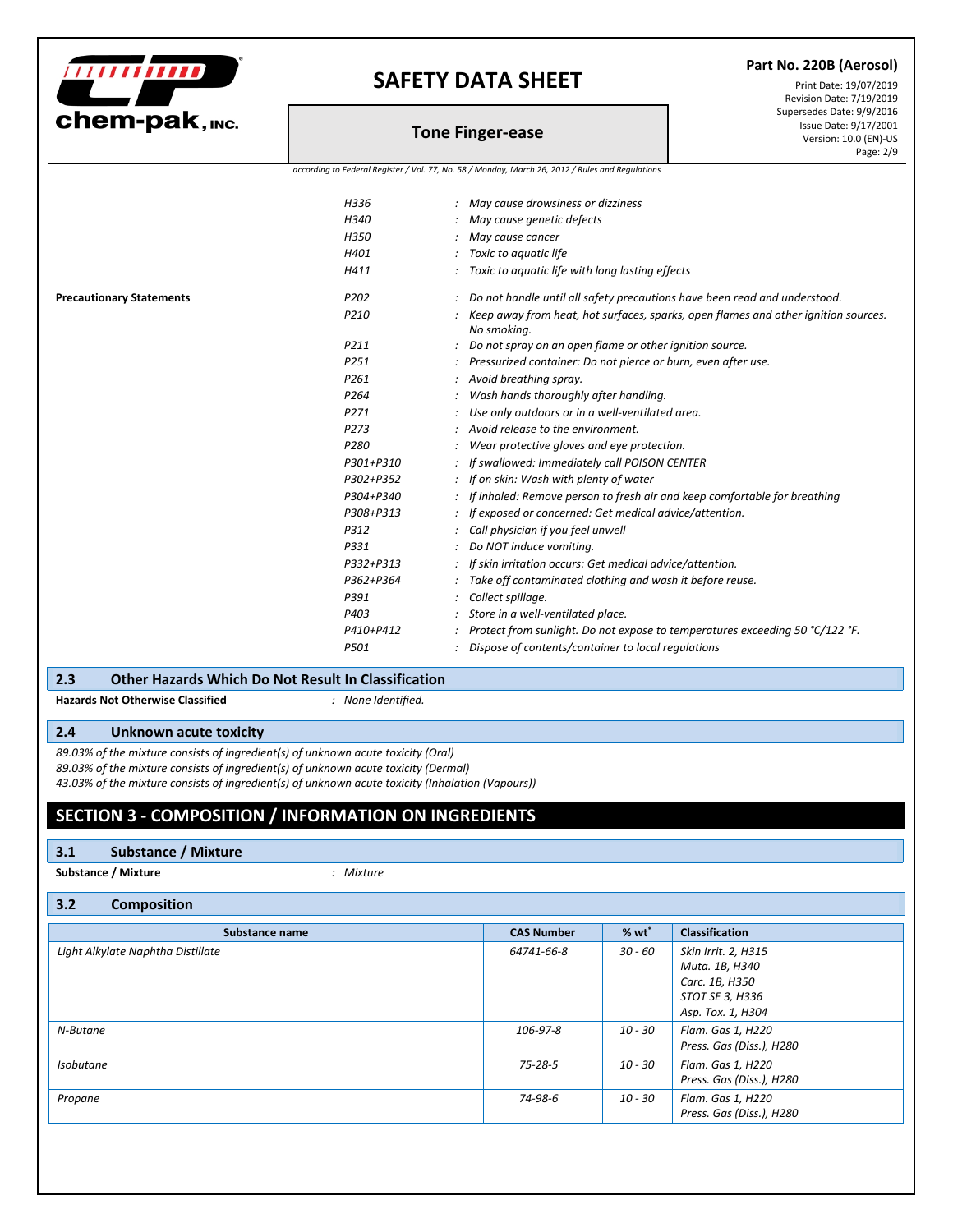

#### **Part No. 220B (Aerosol)**

**Tone Finger-ease**

Print Date: 19/07/2019 Revision Date: 7/19/2019 Supersedes Date: 9/9/2016 Issue Date: 9/17/2001 Version: 10.0 (EN)-US Page: 2/9

|                                 |                  | according to Federal Register / Vol. 77, No. 58 / Monday, March 26, 2012 / Rules and Regulations  |
|---------------------------------|------------------|---------------------------------------------------------------------------------------------------|
|                                 | H336             | May cause drowsiness or dizziness                                                                 |
|                                 | H340             | May cause genetic defects                                                                         |
|                                 | H350             | May cause cancer                                                                                  |
|                                 | H401             | Toxic to aquatic life                                                                             |
|                                 | H411             | Toxic to aquatic life with long lasting effects                                                   |
| <b>Precautionary Statements</b> | P <sub>202</sub> | Do not handle until all safety precautions have been read and understood.                         |
|                                 | P210             | Keep away from heat, hot surfaces, sparks, open flames and other ignition sources.<br>No smoking. |
|                                 | P211             | Do not spray on an open flame or other ignition source.                                           |
|                                 | P <sub>251</sub> | Pressurized container: Do not pierce or burn, even after use.                                     |
|                                 | P <sub>261</sub> | Avoid breathing spray.                                                                            |
|                                 | P <sub>264</sub> | Wash hands thoroughly after handling.                                                             |
|                                 | P271             | Use only outdoors or in a well-ventilated area.                                                   |
|                                 | P <sub>273</sub> | Avoid release to the environment.                                                                 |
|                                 | P <sub>280</sub> | Wear protective gloves and eye protection.                                                        |
|                                 | P301+P310        | If swallowed: Immediately call POISON CENTER                                                      |
|                                 | P302+P352        | If on skin: Wash with plenty of water                                                             |
|                                 | P304+P340        | If inhaled: Remove person to fresh air and keep comfortable for breathing                         |
|                                 | P308+P313        | If exposed or concerned: Get medical advice/attention.                                            |
|                                 | P312             | Call physician if you feel unwell                                                                 |
|                                 | P331             | Do NOT induce vomiting.                                                                           |
|                                 | P332+P313        | If skin irritation occurs: Get medical advice/attention.                                          |
|                                 | P362+P364        | Take off contaminated clothing and wash it before reuse.                                          |
|                                 | P391             | Collect spillage.                                                                                 |
|                                 | P403             | Store in a well-ventilated place.                                                                 |
|                                 | P410+P412        | Protect from sunlight. Do not expose to temperatures exceeding 50 °C/122 °F.                      |

*P501 : Dispose of contents/container to local regulations*

#### **2.3 Other Hazards Which Do Not Result In Classification**

**Hazards Not Otherwise Classified** *: None Identified.*

#### **2.4 Unknown acute toxicity**

*89.03% of the mixture consists of ingredient(s) of unknown acute toxicity (Oral) 89.03% of the mixture consists of ingredient(s) of unknown acute toxicity (Dermal) 43.03% of the mixture consists of ingredient(s) of unknown acute toxicity (Inhalation (Vapours))*

## **SECTION 3 - COMPOSITION / INFORMATION ON INGREDIENTS**

#### **3.1 Substance / Mixture**

**Substance / Mixture** *: Mixture*

| 3.2<br><b>Composition</b>         |                   |            |                                                                                                 |  |  |  |
|-----------------------------------|-------------------|------------|-------------------------------------------------------------------------------------------------|--|--|--|
| Substance name                    | <b>CAS Number</b> | $%$ wt $*$ | <b>Classification</b>                                                                           |  |  |  |
| Light Alkylate Naphtha Distillate | 64741-66-8        | 30 - 60    | Skin Irrit. 2, H315<br>Muta. 1B, H340<br>Carc. 1B, H350<br>STOT SE 3, H336<br>Asp. Tox. 1, H304 |  |  |  |
| N-Butane                          | 106-97-8          | 10 - 30    | Flam. Gas 1, H220<br>Press. Gas (Diss.), H280                                                   |  |  |  |
| <b>Isobutane</b>                  | $75 - 28 - 5$     | 10 - 30    | Flam. Gas 1, H220<br>Press. Gas (Diss.), H280                                                   |  |  |  |
| Propane                           | 74-98-6           | 10 - 30    | Flam. Gas 1, H220<br>Press. Gas (Diss.), H280                                                   |  |  |  |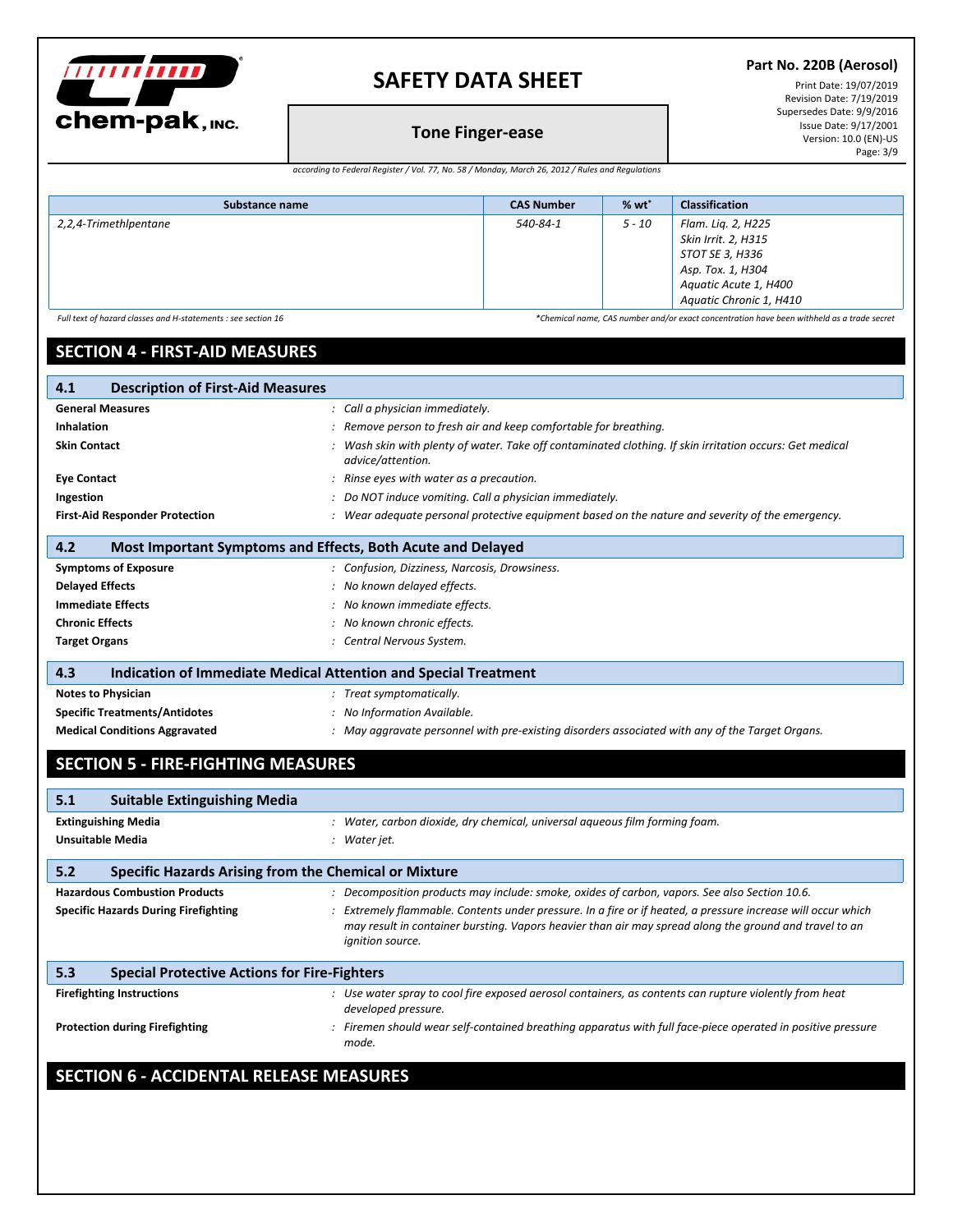

#### **Part No. 220B (Aerosol)**

**Tone Finger-ease**

Print Date: 19/07/2019 Revision Date: 7/19/2019 Supersedes Date: 9/9/2016 Issue Date: 9/17/2001 Version: 10.0 (EN)-US Page: 3/9

*according to Federal Register / Vol. 77, No. 58 / Monday, March 26, 2012 / Rules and Regulations*

| Substance name                                                | <b>CAS Number</b> | $%$ wt $*$ | <b>Classification</b>                                                                      |
|---------------------------------------------------------------|-------------------|------------|--------------------------------------------------------------------------------------------|
| 2,2,4-Trimethlpentane                                         | 540-84-1          | $5 - 10$   | Flam. Lig. 2, H225                                                                         |
|                                                               |                   |            | Skin Irrit. 2, H315                                                                        |
|                                                               |                   |            | STOT SE 3, H336                                                                            |
|                                                               |                   |            | Asp. Tox. 1, H304                                                                          |
|                                                               |                   |            | Aquatic Acute 1, H400                                                                      |
|                                                               |                   |            | Aquatic Chronic 1, H410                                                                    |
| Full text of hazard classes and H-statements : see section 16 |                   |            | *Chemical name, CAS number and/or exact concentration have been withheld as a trade secret |

## **SECTION 4 - FIRST-AID MEASURES**

| 4.1<br><b>Description of First-Aid Measures</b>                               |                                                                                                                                                                                                                                                   |  |  |  |
|-------------------------------------------------------------------------------|---------------------------------------------------------------------------------------------------------------------------------------------------------------------------------------------------------------------------------------------------|--|--|--|
| <b>General Measures</b>                                                       | : Call a physician immediately.                                                                                                                                                                                                                   |  |  |  |
| <b>Inhalation</b>                                                             | : Remove person to fresh air and keep comfortable for breathing.                                                                                                                                                                                  |  |  |  |
| <b>Skin Contact</b>                                                           | : Wash skin with plenty of water. Take off contaminated clothing. If skin irritation occurs: Get medical<br>advice/attention.                                                                                                                     |  |  |  |
| <b>Eye Contact</b>                                                            | : Rinse eyes with water as a precaution.                                                                                                                                                                                                          |  |  |  |
| Ingestion                                                                     | : Do NOT induce vomiting. Call a physician immediately.                                                                                                                                                                                           |  |  |  |
| <b>First-Aid Responder Protection</b>                                         | : Wear adequate personal protective equipment based on the nature and severity of the emergency.                                                                                                                                                  |  |  |  |
| 4.2<br>Most Important Symptoms and Effects, Both Acute and Delayed            |                                                                                                                                                                                                                                                   |  |  |  |
| <b>Symptoms of Exposure</b>                                                   | : Confusion, Dizziness, Narcosis, Drowsiness.                                                                                                                                                                                                     |  |  |  |
| <b>Delayed Effects</b>                                                        | : No known delayed effects.                                                                                                                                                                                                                       |  |  |  |
| <b>Immediate Effects</b>                                                      | : No known immediate effects.                                                                                                                                                                                                                     |  |  |  |
| <b>Chronic Effects</b>                                                        | : No known chronic effects.                                                                                                                                                                                                                       |  |  |  |
| <b>Target Organs</b>                                                          | : Central Nervous System.                                                                                                                                                                                                                         |  |  |  |
| <b>Indication of Immediate Medical Attention and Special Treatment</b><br>4.3 |                                                                                                                                                                                                                                                   |  |  |  |
| <b>Notes to Physician</b>                                                     | : Treat symptomatically.                                                                                                                                                                                                                          |  |  |  |
| <b>Specific Treatments/Antidotes</b>                                          | : No Information Available.                                                                                                                                                                                                                       |  |  |  |
| <b>Medical Conditions Aggravated</b>                                          | : May aggravate personnel with pre-existing disorders associated with any of the Target Organs.                                                                                                                                                   |  |  |  |
| <b>SECTION 5 - FIRE-FIGHTING MEASURES</b>                                     |                                                                                                                                                                                                                                                   |  |  |  |
|                                                                               |                                                                                                                                                                                                                                                   |  |  |  |
| 5.1<br><b>Suitable Extinguishing Media</b>                                    |                                                                                                                                                                                                                                                   |  |  |  |
| <b>Extinguishing Media</b>                                                    | : Water, carbon dioxide, dry chemical, universal aqueous film forming foam.                                                                                                                                                                       |  |  |  |
| <b>Unsuitable Media</b>                                                       | : Water jet.                                                                                                                                                                                                                                      |  |  |  |
| 5.2<br>Specific Hazards Arising from the Chemical or Mixture                  |                                                                                                                                                                                                                                                   |  |  |  |
| <b>Hazardous Combustion Products</b>                                          | : Decomposition products may include: smoke, oxides of carbon, vapors. See also Section 10.6.                                                                                                                                                     |  |  |  |
| <b>Specific Hazards During Firefighting</b>                                   | : Extremely flammable. Contents under pressure. In a fire or if heated, a pressure increase will occur which<br>may result in container bursting. Vapors heavier than air may spread along the ground and travel to an<br><i>ignition source.</i> |  |  |  |
| 5.3<br><b>Special Protective Actions for Fire-Fighters</b>                    |                                                                                                                                                                                                                                                   |  |  |  |
| <b>Firefighting Instructions</b>                                              | : Use water spray to cool fire exposed aerosol containers, as contents can rupture violently from heat<br>developed pressure.                                                                                                                     |  |  |  |
| <b>Protection during Firefighting</b>                                         | : Firemen should wear self-contained breathing apparatus with full face-piece operated in positive pressure<br>mode.                                                                                                                              |  |  |  |
| <b>SECTION 6 - ACCIDENTAL RELEASE MEASURES</b>                                |                                                                                                                                                                                                                                                   |  |  |  |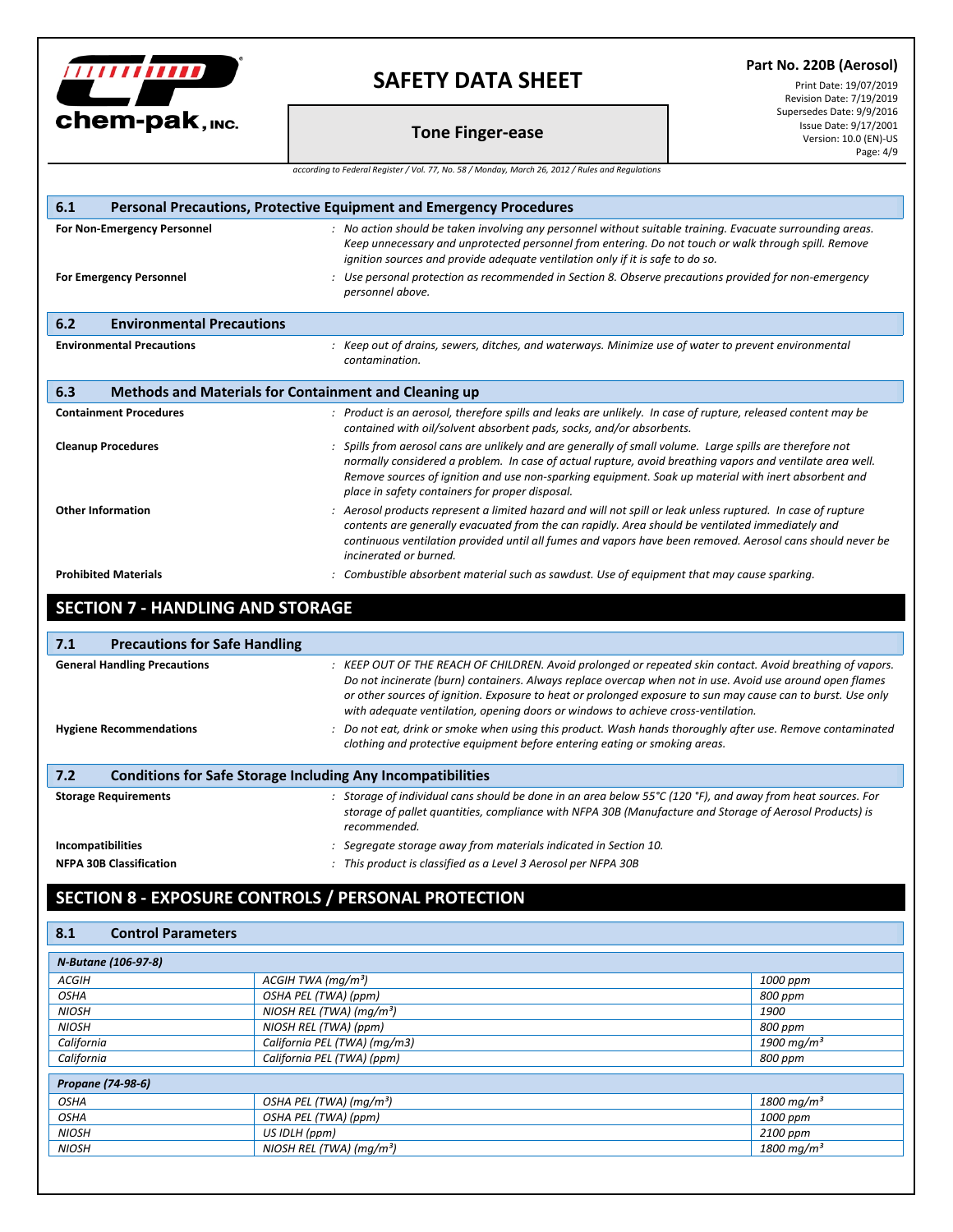

**Part No. 220B (Aerosol)**

## **Tone Finger-ease**

Print Date: 19/07/2019 Revision Date: 7/19/2019 Supersedes Date: 9/9/2016 Issue Date: 9/17/2001 Version: 10.0 (EN)-US

|                                                               | Page: 4/9                                                                                                                                                                                                                                                                                                                                                                                                                   |
|---------------------------------------------------------------|-----------------------------------------------------------------------------------------------------------------------------------------------------------------------------------------------------------------------------------------------------------------------------------------------------------------------------------------------------------------------------------------------------------------------------|
|                                                               | according to Federal Register / Vol. 77, No. 58 / Monday, March 26, 2012 / Rules and Regulations                                                                                                                                                                                                                                                                                                                            |
|                                                               |                                                                                                                                                                                                                                                                                                                                                                                                                             |
| 6.1                                                           | Personal Precautions, Protective Equipment and Emergency Procedures                                                                                                                                                                                                                                                                                                                                                         |
| For Non-Emergency Personnel<br><b>For Emergency Personnel</b> | : No action should be taken involving any personnel without suitable training. Evacuate surrounding areas.<br>Keep unnecessary and unprotected personnel from entering. Do not touch or walk through spill. Remove<br>ignition sources and provide adequate ventilation only if it is safe to do so.<br>: Use personal protection as recommended in Section 8. Observe precautions provided for non-emergency               |
|                                                               | personnel above.                                                                                                                                                                                                                                                                                                                                                                                                            |
| <b>Environmental Precautions</b><br>6.2                       |                                                                                                                                                                                                                                                                                                                                                                                                                             |
| <b>Environmental Precautions</b>                              | : Keep out of drains, sewers, ditches, and waterways. Minimize use of water to prevent environmental<br>contamination.                                                                                                                                                                                                                                                                                                      |
| 6.3                                                           | Methods and Materials for Containment and Cleaning up                                                                                                                                                                                                                                                                                                                                                                       |
| <b>Containment Procedures</b>                                 | : Product is an aerosol, therefore spills and leaks are unlikely. In case of rupture, released content may be<br>contained with oil/solvent absorbent pads, socks, and/or absorbents.                                                                                                                                                                                                                                       |
| <b>Cleanup Procedures</b>                                     | : Spills from aerosol cans are unlikely and are generally of small volume. Large spills are therefore not<br>normally considered a problem. In case of actual rupture, avoid breathing vapors and ventilate area well.<br>Remove sources of ignition and use non-sparking equipment. Soak up material with inert absorbent and<br>place in safety containers for proper disposal.                                           |
| <b>Other Information</b>                                      | : Aerosol products represent a limited hazard and will not spill or leak unless ruptured. In case of rupture<br>contents are generally evacuated from the can rapidly. Area should be ventilated immediately and<br>continuous ventilation provided until all fumes and vapors have been removed. Aerosol cans should never be<br>incinerated or burned.                                                                    |
| <b>Prohibited Materials</b>                                   | : Combustible absorbent material such as sawdust. Use of equipment that may cause sparking.                                                                                                                                                                                                                                                                                                                                 |
| <b>SECTION 7 - HANDLING AND STORAGE</b>                       |                                                                                                                                                                                                                                                                                                                                                                                                                             |
| <b>Precautions for Safe Handling</b><br>7.1                   |                                                                                                                                                                                                                                                                                                                                                                                                                             |
| <b>General Handling Precautions</b>                           | : KEEP OUT OF THE REACH OF CHILDREN. Avoid prolonged or repeated skin contact. Avoid breathing of vapors.<br>Do not incinerate (burn) containers. Always replace overcap when not in use. Avoid use around open flames<br>or other sources of ignition. Exposure to heat or prolonged exposure to sun may cause can to burst. Use only<br>with adequate ventilation, opening doors or windows to achieve cross-ventilation. |
| <b>Hygiene Recommendations</b>                                | : Do not eat, drink or smoke when using this product. Wash hands thoroughly after use. Remove contaminated<br>clothing and protective equipment before entering eating or smoking areas.                                                                                                                                                                                                                                    |
| 7.2                                                           | <b>Conditions for Safe Storage Including Any Incompatibilities</b>                                                                                                                                                                                                                                                                                                                                                          |
| <b>Storage Requirements</b>                                   | : Storage of individual cans should be done in an area below $55^{\circ}$ C (120 $^{\circ}$ F), and away from heat sources. For<br>storage of pallet quantities, compliance with NFPA 30B (Manufacture and Storage of Aerosol Products) is<br>recommended.                                                                                                                                                                  |
| <b>Incompatibilities</b>                                      | : Segregate storage away from materials indicated in Section 10.                                                                                                                                                                                                                                                                                                                                                            |

**NFPA 30B Classification** *: This product is classified as a Level 3 Aerosol per NFPA 30B*

# **SECTION 8 - EXPOSURE CONTROLS / PERSONAL PROTECTION**

## **8.1 Control Parameters**

| ACGIH TWA ( $mq/m^3$ )               | 1000 ррт                 |  |  |  |  |
|--------------------------------------|--------------------------|--|--|--|--|
| OSHA PEL (TWA) (ppm)                 | 800 ppm                  |  |  |  |  |
| NIOSH REL (TWA) (mg/m <sup>3</sup> ) | 1900                     |  |  |  |  |
| NIOSH REL (TWA) (ppm)                | 800 ppm                  |  |  |  |  |
| California PEL (TWA) (mg/m3)         | 1900 mg/m <sup>3</sup>   |  |  |  |  |
| California PEL (TWA) (ppm)           | 800 ppm                  |  |  |  |  |
| Propane (74-98-6)                    |                          |  |  |  |  |
| OSHA PEL (TWA) (mg/m <sup>3</sup> )  | $1800 \,\mathrm{mg/m^3}$ |  |  |  |  |
| OSHA PEL (TWA) (ppm)                 | 1000 ppm                 |  |  |  |  |
| US IDLH (ppm)                        | 2100 ppm                 |  |  |  |  |
| NIOSH REL (TWA) ( $mq/m3$ )          | $1800 \,\mathrm{mg/m^3}$ |  |  |  |  |
|                                      |                          |  |  |  |  |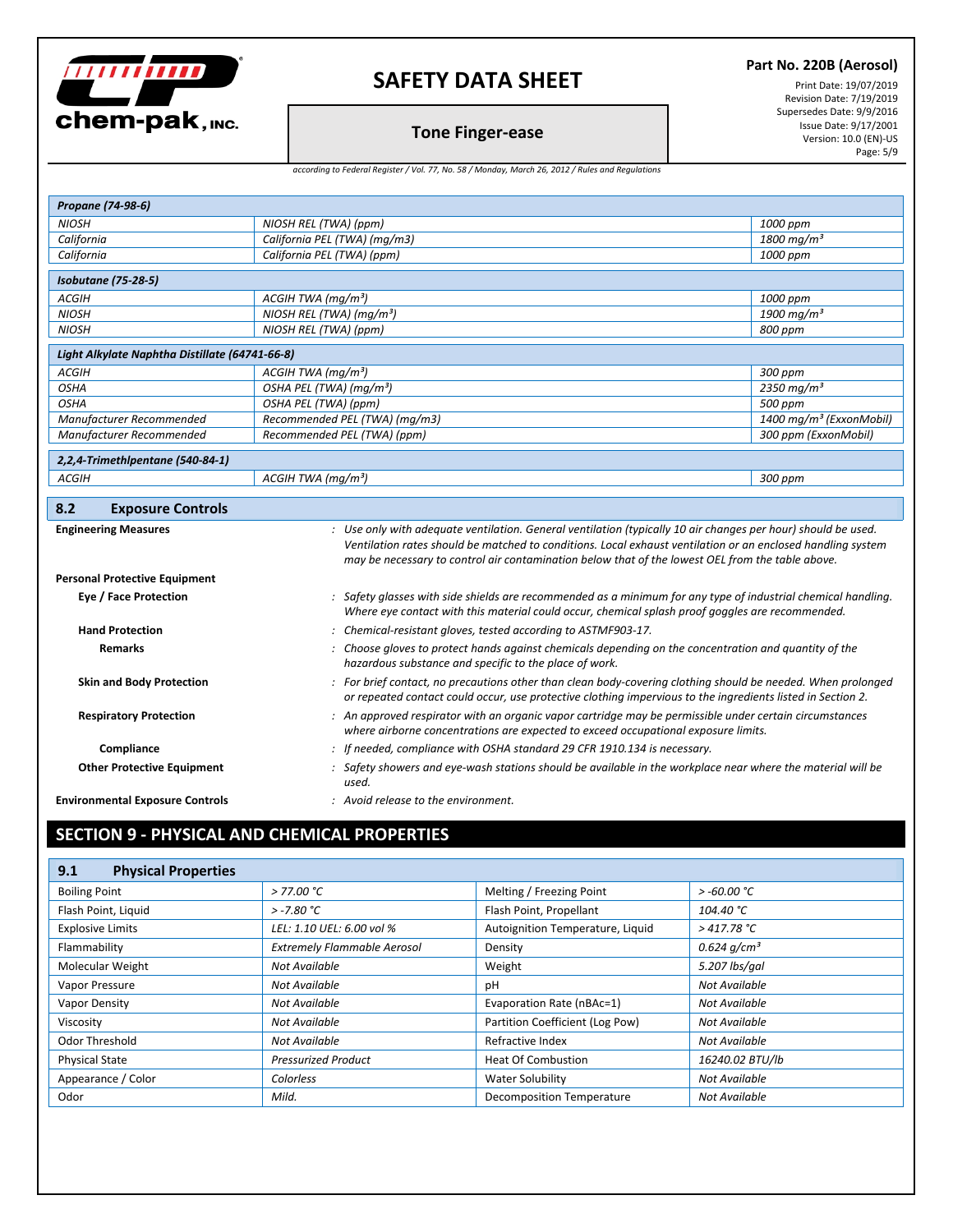

## **Part No. 220B (Aerosol)**

Print Date: 19/07/2019 Revision Date: 7/19/2019 Supersedes Date: 9/9/2016 Issue Date: 9/17/2001 Version: 10.0 (EN)-US Page: 5/9

## **Tone Finger-ease**

| according to Federal Register / Vol. 77, No. 58 / Monday, March 26, 2012 / Rules and Regulations |  |  |
|--------------------------------------------------------------------------------------------------|--|--|
|--------------------------------------------------------------------------------------------------|--|--|

| Propane (74-98-6)                                                                                                                                                                                                                                              |                                                                                                                                                                                               |                                     |  |  |
|----------------------------------------------------------------------------------------------------------------------------------------------------------------------------------------------------------------------------------------------------------------|-----------------------------------------------------------------------------------------------------------------------------------------------------------------------------------------------|-------------------------------------|--|--|
| <b>NIOSH</b>                                                                                                                                                                                                                                                   | NIOSH REL (TWA) (ppm)                                                                                                                                                                         | 1000 ppm                            |  |  |
| California                                                                                                                                                                                                                                                     | California PEL (TWA) (mg/m3)                                                                                                                                                                  | 1800 mg/m <sup>3</sup>              |  |  |
| California                                                                                                                                                                                                                                                     | California PEL (TWA) (ppm)                                                                                                                                                                    | 1000 ppm                            |  |  |
| <b>Isobutane (75-28-5)</b>                                                                                                                                                                                                                                     |                                                                                                                                                                                               |                                     |  |  |
| <b>ACGIH</b>                                                                                                                                                                                                                                                   | ACGIH TWA ( $mq/m^3$ )                                                                                                                                                                        | 1000 ppm                            |  |  |
| <b>NIOSH</b>                                                                                                                                                                                                                                                   | NIOSH REL (TWA) ( $mq/m3$ )                                                                                                                                                                   | 1900 mg/m <sup>3</sup>              |  |  |
| <b>NIOSH</b>                                                                                                                                                                                                                                                   | NIOSH REL (TWA) (ppm)                                                                                                                                                                         | 800 ppm                             |  |  |
| Light Alkylate Naphtha Distillate (64741-66-8)                                                                                                                                                                                                                 |                                                                                                                                                                                               |                                     |  |  |
| <b>ACGIH</b>                                                                                                                                                                                                                                                   | ACGIH TWA ( $mq/m^3$ )                                                                                                                                                                        | 300 ppm                             |  |  |
| <b>OSHA</b>                                                                                                                                                                                                                                                    | OSHA PEL (TWA) (mg/m <sup>3</sup> )                                                                                                                                                           | 2350 mg/m <sup>3</sup>              |  |  |
| <b>OSHA</b>                                                                                                                                                                                                                                                    | OSHA PEL (TWA) (ppm)                                                                                                                                                                          | 500 ppm                             |  |  |
| Manufacturer Recommended                                                                                                                                                                                                                                       | Recommended PEL (TWA) (mg/m3)                                                                                                                                                                 | 1400 mg/m <sup>3</sup> (ExxonMobil) |  |  |
| Manufacturer Recommended                                                                                                                                                                                                                                       | Recommended PEL (TWA) (ppm)                                                                                                                                                                   | 300 ppm (ExxonMobil)                |  |  |
| 2,2,4-Trimethlpentane (540-84-1)                                                                                                                                                                                                                               |                                                                                                                                                                                               |                                     |  |  |
| <b>ACGIH</b>                                                                                                                                                                                                                                                   | ACGIH TWA ( $mq/m^3$ )                                                                                                                                                                        | 300 ppm                             |  |  |
|                                                                                                                                                                                                                                                                |                                                                                                                                                                                               |                                     |  |  |
| 8.2<br><b>Exposure Controls</b>                                                                                                                                                                                                                                |                                                                                                                                                                                               |                                     |  |  |
| <b>Engineering Measures</b>                                                                                                                                                                                                                                    | : Use only with adequate ventilation. General ventilation (typically 10 air changes per hour) should be used.                                                                                 |                                     |  |  |
|                                                                                                                                                                                                                                                                | Ventilation rates should be matched to conditions. Local exhaust ventilation or an enclosed handling system                                                                                   |                                     |  |  |
|                                                                                                                                                                                                                                                                | may be necessary to control air contamination below that of the lowest OEL from the table above.                                                                                              |                                     |  |  |
| <b>Personal Protective Equipment</b>                                                                                                                                                                                                                           |                                                                                                                                                                                               |                                     |  |  |
| Eye / Face Protection                                                                                                                                                                                                                                          | : Safety glasses with side shields are recommended as a minimum for any type of industrial chemical handling.                                                                                 |                                     |  |  |
|                                                                                                                                                                                                                                                                | Where eye contact with this material could occur, chemical splash proof goggles are recommended.                                                                                              |                                     |  |  |
| <b>Hand Protection</b>                                                                                                                                                                                                                                         | : Chemical-resistant gloves, tested according to ASTMF903-17.                                                                                                                                 |                                     |  |  |
| : Choose gloves to protect hands against chemicals depending on the concentration and quantity of the<br><b>Remarks</b><br>hazardous substance and specific to the place of work.                                                                              |                                                                                                                                                                                               |                                     |  |  |
| : For brief contact, no precautions other than clean body-covering clothing should be needed. When prolonged<br><b>Skin and Body Protection</b><br>or repeated contact could occur, use protective clothing impervious to the ingredients listed in Section 2. |                                                                                                                                                                                               |                                     |  |  |
| <b>Respiratory Protection</b>                                                                                                                                                                                                                                  | : An approved respirator with an organic vapor cartridge may be permissible under certain circumstances<br>where airborne concentrations are expected to exceed occupational exposure limits. |                                     |  |  |
| Compliance                                                                                                                                                                                                                                                     | : If needed, compliance with OSHA standard 29 CFR 1910.134 is necessary.                                                                                                                      |                                     |  |  |
| Safety showers and eye-wash stations should be available in the workplace near where the material will be<br><b>Other Protective Equipment</b>                                                                                                                 |                                                                                                                                                                                               |                                     |  |  |
| used.                                                                                                                                                                                                                                                          |                                                                                                                                                                                               |                                     |  |  |
| <b>Environmental Exposure Controls</b>                                                                                                                                                                                                                         | : Avoid release to the environment.                                                                                                                                                           |                                     |  |  |

# **SECTION 9 - PHYSICAL AND CHEMICAL PROPERTIES**

| <b>Physical Properties</b><br>9.1 |                                    |                                  |                  |
|-----------------------------------|------------------------------------|----------------------------------|------------------|
| <b>Boiling Point</b>              | > 77.00 °C                         | Melting / Freezing Point         | $> -60.00 °C$    |
| Flash Point, Liquid               | $> -7.80 °C$                       | Flash Point, Propellant          | 104.40 °C        |
| <b>Explosive Limits</b>           | LEL: 1.10 UEL: 6.00 vol %          | Autoignition Temperature, Liquid | >417.78 °C       |
| Flammability                      | <b>Extremely Flammable Aerosol</b> | Density                          | 0.624 $q/cm^{3}$ |
| Molecular Weight                  | Not Available                      | Weight                           | 5.207 lbs/gal    |
| Vapor Pressure                    | Not Available                      | рH                               | Not Available    |
| Vapor Density                     | Not Available                      | Evaporation Rate (nBAc=1)        | Not Available    |
| Viscosity                         | Not Available                      | Partition Coefficient (Log Pow)  | Not Available    |
| Odor Threshold                    | Not Available                      | Refractive Index                 | Not Available    |
| <b>Physical State</b>             | <b>Pressurized Product</b>         | <b>Heat Of Combustion</b>        | 16240.02 BTU/lb  |
| Appearance / Color                | Colorless                          | <b>Water Solubility</b>          | Not Available    |
| Odor                              | Mild.                              | <b>Decomposition Temperature</b> | Not Available    |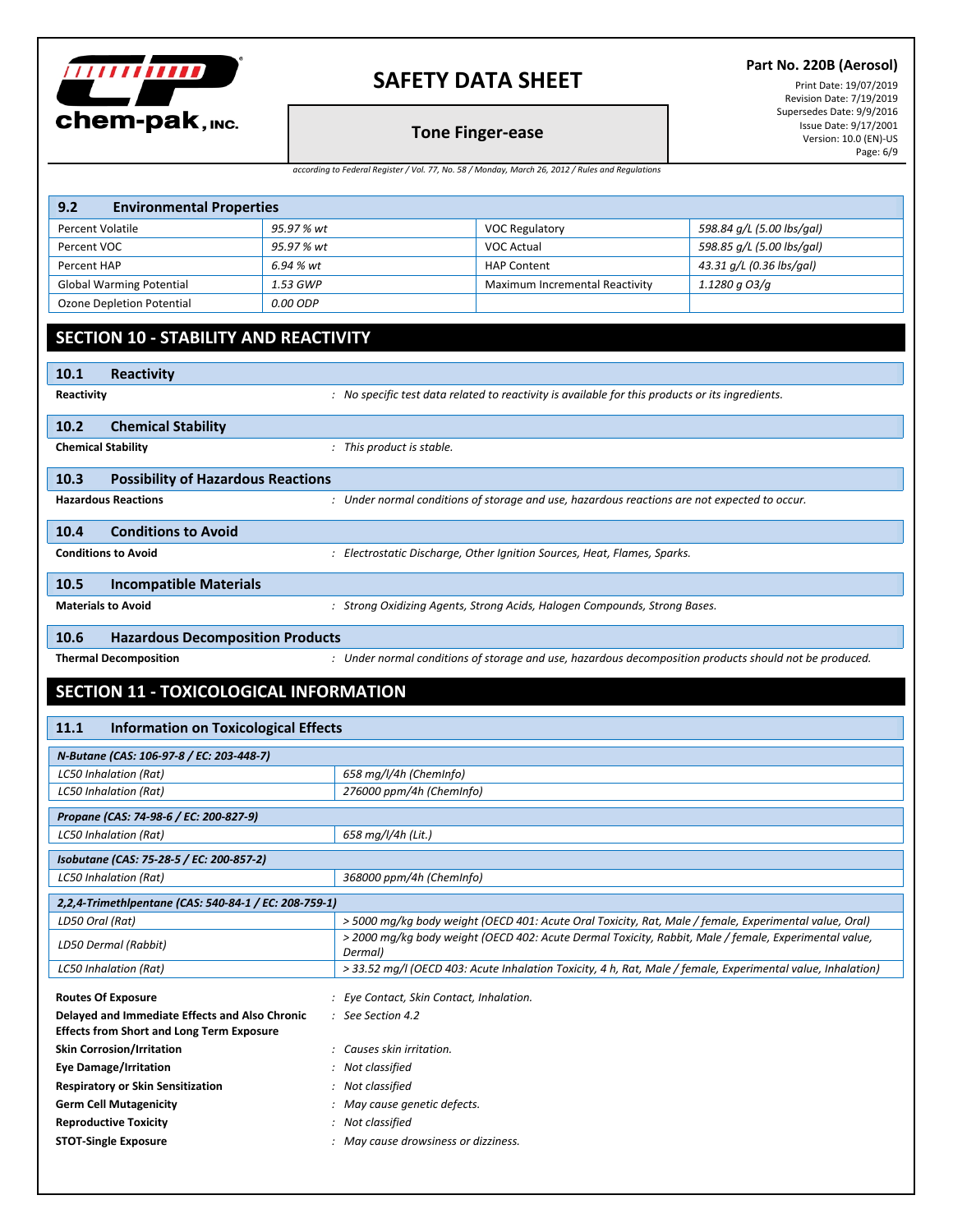

#### **Part No. 220B (Aerosol)**

Print Date: 19/07/2019 Revision Date: 7/19/2019 Supersedes Date: 9/9/2016 Issue Date: 9/17/2001 Version: 10.0 (EN)-US Page: 6/9

**Tone Finger-ease**

| according to Federal Register / Vol. 77, No. 58 / Monday, March 26, 2012 / Rules and Regulations |  |  |  |  |  |  |  |
|--------------------------------------------------------------------------------------------------|--|--|--|--|--|--|--|
|--------------------------------------------------------------------------------------------------|--|--|--|--|--|--|--|

| 9.2<br><b>Environmental Properties</b> |            |                                |                           |  |
|----------------------------------------|------------|--------------------------------|---------------------------|--|
| Percent Volatile                       | 95.97 % wt | <b>VOC Regulatory</b>          | 598.84 g/L (5.00 lbs/gal) |  |
| Percent VOC                            | 95.97 % wt | VOC Actual                     | 598.85 g/L (5.00 lbs/gal) |  |
| Percent HAP                            | 6.94 % wt  | <b>HAP Content</b>             | 43.31 g/L (0.36 lbs/gal)  |  |
| <b>Global Warming Potential</b>        | 1.53 GWP   | Maximum Incremental Reactivity | 1.1280 a O3/a             |  |
| Ozone Depletion Potential              | 0.00 ODP   |                                |                           |  |
|                                        |            |                                |                           |  |

# **SECTION 10 - STABILITY AND REACTIVITY**

## **10.1 Reactivity**

Reactivity **State of the State of Conventional Convention** Changer Changer Changer Changer Changer Changer Changer Changer Changer Changer Changer Changer Changer Changer Changer Changer Changer Changer Changer Changer Cha

| 10.2                      | <b>Chemical Stability</b> |  |
|---------------------------|---------------------------|--|
| <b>Chemical Stability</b> |                           |  |

| : This product is stable. |  |  |
|---------------------------|--|--|

| 10.3 | <b>Possibility of Hazardous Reactions</b> |                                                                                            |
|------|-------------------------------------------|--------------------------------------------------------------------------------------------|
|      | <b>Hazardous Reactions</b>                | Under normal conditions of storage and use, hazardous reactions are not expected to occur. |
| 10.4 | <b>Conditions to Avoid</b>                |                                                                                            |
|      | <b>Conditions to Avoid</b>                | : Electrostatic Discharge, Other Ignition Sources, Heat, Flames, Sparks.                   |
| 10.5 | <b>Incompatible Materials</b>             |                                                                                            |

**Materials to Avoid** *: Strong Oxidizing Agents, Strong Acids, Halogen Compounds, Strong Bases.*

#### **10.6 Hazardous Decomposition Products**

Thermal Decomposition **Example 2018** Moder normal conditions of storage and use, hazardous decomposition products should not be produced.

## **SECTION 11 - TOXICOLOGICAL INFORMATION**

## **11.1 Information on Toxicological Effects**

| N-Butane (CAS: 106-97-8 / EC: 203-448-7)                                                           |                                                                                                                  |  |  |  |  |
|----------------------------------------------------------------------------------------------------|------------------------------------------------------------------------------------------------------------------|--|--|--|--|
| <b>LC50 Inhalation (Rat)</b>                                                                       | 658 mg/l/4h (ChemInfo)                                                                                           |  |  |  |  |
| <b>LC50 Inhalation (Rat)</b>                                                                       | 276000 ppm/4h (ChemInfo)                                                                                         |  |  |  |  |
| Propane (CAS: 74-98-6 / EC: 200-827-9)                                                             |                                                                                                                  |  |  |  |  |
| <b>LC50 Inhalation (Rat)</b>                                                                       | 658 mg/l/4h (Lit.)                                                                                               |  |  |  |  |
| Isobutane (CAS: 75-28-5 / EC: 200-857-2)                                                           |                                                                                                                  |  |  |  |  |
| <b>LC50 Inhalation (Rat)</b>                                                                       | 368000 ppm/4h (ChemInfo)                                                                                         |  |  |  |  |
| 2,2,4-Trimethlpentane (CAS: 540-84-1 / EC: 208-759-1)                                              |                                                                                                                  |  |  |  |  |
| LD50 Oral (Rat)                                                                                    | > 5000 mg/kg body weight (OECD 401: Acute Oral Toxicity, Rat, Male / female, Experimental value, Oral)           |  |  |  |  |
| LD50 Dermal (Rabbit)                                                                               | > 2000 mg/kg body weight (OECD 402: Acute Dermal Toxicity, Rabbit, Male / female, Experimental value,<br>Dermal) |  |  |  |  |
| LC50 Inhalation (Rat)                                                                              | > 33.52 mg/l (OECD 403: Acute Inhalation Toxicity, 4 h, Rat, Male / female, Experimental value, Inhalation)      |  |  |  |  |
| <b>Routes Of Exposure</b>                                                                          | : Eye Contact, Skin Contact, Inhalation.                                                                         |  |  |  |  |
| Delayed and Immediate Effects and Also Chronic<br><b>Effects from Short and Long Term Exposure</b> | $\therefore$ See Section 4.2                                                                                     |  |  |  |  |
| <b>Skin Corrosion/Irritation</b>                                                                   | : Causes skin irritation.                                                                                        |  |  |  |  |
| <b>Eye Damage/Irritation</b>                                                                       | : Not classified                                                                                                 |  |  |  |  |
| <b>Respiratory or Skin Sensitization</b>                                                           | : Not classified                                                                                                 |  |  |  |  |
| <b>Germ Cell Mutagenicity</b>                                                                      | : May cause genetic defects.                                                                                     |  |  |  |  |
| <b>Reproductive Toxicity</b>                                                                       | : Not classified                                                                                                 |  |  |  |  |
| <b>STOT-Single Exposure</b>                                                                        | May cause drowsiness or dizziness.                                                                               |  |  |  |  |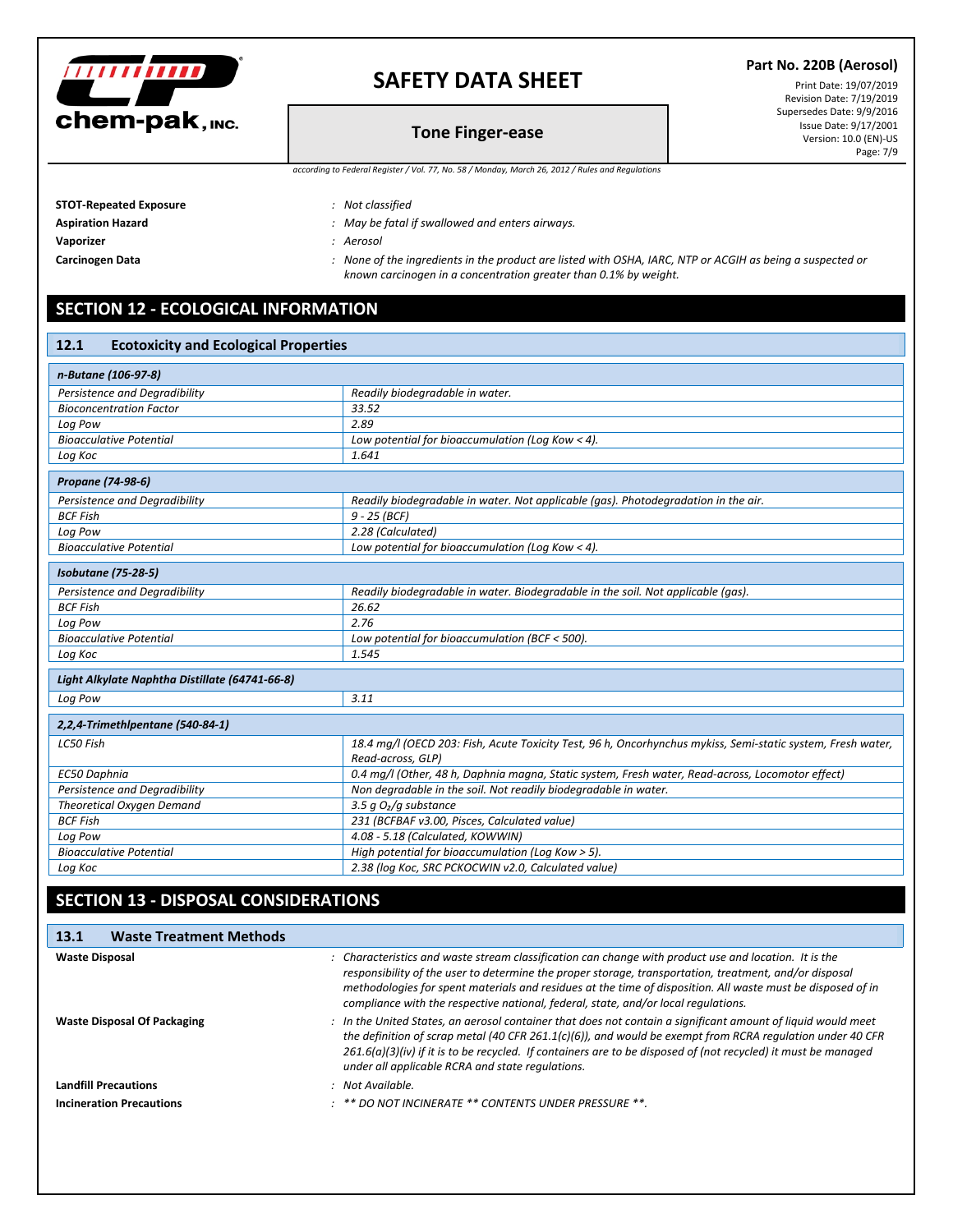

## **Tone Finger-ease**

**Part No. 220B (Aerosol)**

Print Date: 19/07/2019 Revision Date: 7/19/2019 Supersedes Date: 9/9/2016 Issue Date: 9/17/2001 Version: 10.0 (EN)-US Page: 7/9

*according to Federal Register / Vol. 77, No. 58 / Monday, March 26, 2012 / Rules and Regulations*

**STOT-Repeated Exposure** *: Not classified*

- **Aspiration Hazard** *: May be fatal if swallowed and enters airways.*
- **Vaporizer** *: Aerosol*

Carcinogen Data **State Agencies** of the ingredients in the product are listed with OSHA, IARC, NTP or ACGIH as being a suspected or *known carcinogen in a concentration greater than 0.1% by weight.*

# **SECTION 12 - ECOLOGICAL INFORMATION**

| <b>Ecotoxicity and Ecological Properties</b><br>12.1             |                                                                                                                                  |  |  |  |  |
|------------------------------------------------------------------|----------------------------------------------------------------------------------------------------------------------------------|--|--|--|--|
| n-Butane (106-97-8)                                              |                                                                                                                                  |  |  |  |  |
| Persistence and Degradibility<br>Readily biodegradable in water. |                                                                                                                                  |  |  |  |  |
| <b>Bioconcentration Factor</b>                                   | 33.52                                                                                                                            |  |  |  |  |
| Log Pow                                                          | 2.89                                                                                                                             |  |  |  |  |
| <b>Bioacculative Potential</b>                                   | Low potential for bioaccumulation (Log Kow < 4).                                                                                 |  |  |  |  |
| Log Koc                                                          | 1.641                                                                                                                            |  |  |  |  |
| Propane (74-98-6)                                                |                                                                                                                                  |  |  |  |  |
| Persistence and Degradibility                                    | Readily biodegradable in water. Not applicable (gas). Photodegradation in the air.                                               |  |  |  |  |
| <b>BCF Fish</b>                                                  | $9 - 25$ (BCF)                                                                                                                   |  |  |  |  |
| Log Pow                                                          | 2.28 (Calculated)                                                                                                                |  |  |  |  |
| <b>Bioacculative Potential</b>                                   | Low potential for bioaccumulation (Log Kow < 4).                                                                                 |  |  |  |  |
| <b>Isobutane</b> (75-28-5)                                       |                                                                                                                                  |  |  |  |  |
| Persistence and Degradibility                                    | Readily biodegradable in water. Biodegradable in the soil. Not applicable (qas).                                                 |  |  |  |  |
| <b>BCF Fish</b>                                                  | 26.62                                                                                                                            |  |  |  |  |
| Log Pow                                                          | 2.76                                                                                                                             |  |  |  |  |
| <b>Bioacculative Potential</b>                                   | Low potential for bioaccumulation (BCF < 500).                                                                                   |  |  |  |  |
| Log Koc                                                          | 1.545                                                                                                                            |  |  |  |  |
| Light Alkylate Naphtha Distillate (64741-66-8)                   |                                                                                                                                  |  |  |  |  |
| Log Pow                                                          | 3.11                                                                                                                             |  |  |  |  |
| 2,2,4-Trimethlpentane (540-84-1)                                 |                                                                                                                                  |  |  |  |  |
| LC50 Fish                                                        | 18.4 mg/l (OECD 203: Fish, Acute Toxicity Test, 96 h, Oncorhynchus mykiss, Semi-static system, Fresh water,<br>Read-across, GLP) |  |  |  |  |
| EC50 Daphnia                                                     | 0.4 mg/l (Other, 48 h, Daphnia magna, Static system, Fresh water, Read-across, Locomotor effect)                                 |  |  |  |  |
| Persistence and Degradibility                                    | Non degradable in the soil. Not readily biodegradable in water.                                                                  |  |  |  |  |
| <b>Theoretical Oxygen Demand</b>                                 | 3.5 $qO2/q$ substance                                                                                                            |  |  |  |  |
| <b>BCF Fish</b>                                                  | 231 (BCFBAF v3.00, Pisces, Calculated value)                                                                                     |  |  |  |  |
| Log Pow                                                          | 4.08 - 5.18 (Calculated, KOWWIN)                                                                                                 |  |  |  |  |
| <b>Bioacculative Potential</b>                                   | High potential for bioaccumulation (Log Kow > 5).                                                                                |  |  |  |  |
| 2.38 (log Koc, SRC PCKOCWIN v2.0, Calculated value)<br>Log Koc   |                                                                                                                                  |  |  |  |  |

# **SECTION 13 - DISPOSAL CONSIDERATIONS**

| <b>Waste Treatment Methods</b><br><b>13.1</b> |                                                                                                                                                                                                                                                                                                                                                                                                                      |
|-----------------------------------------------|----------------------------------------------------------------------------------------------------------------------------------------------------------------------------------------------------------------------------------------------------------------------------------------------------------------------------------------------------------------------------------------------------------------------|
| <b>Waste Disposal</b>                         | : Characteristics and waste stream classification can change with product use and location. It is the<br>responsibility of the user to determine the proper storage, transportation, treatment, and/or disposal<br>methodologies for spent materials and residues at the time of disposition. All waste must be disposed of in<br>compliance with the respective national, federal, state, and/or local regulations. |
| <b>Waste Disposal Of Packaging</b>            | : In the United States, an aerosol container that does not contain a significant amount of liquid would meet<br>the definition of scrap metal (40 CFR 261.1(c)(6)), and would be exempt from RCRA regulation under 40 CFR<br>$261.6(a)(3)(iv)$ if it is to be recycled. If containers are to be disposed of (not recycled) it must be managed<br>under all applicable RCRA and state regulations.                    |
| <b>Landfill Precautions</b>                   | : Not Available.                                                                                                                                                                                                                                                                                                                                                                                                     |
| <b>Incineration Precautions</b>               | $:$ ** DO NOT INCINERATE ** CONTENTS UNDER PRESSURE **.                                                                                                                                                                                                                                                                                                                                                              |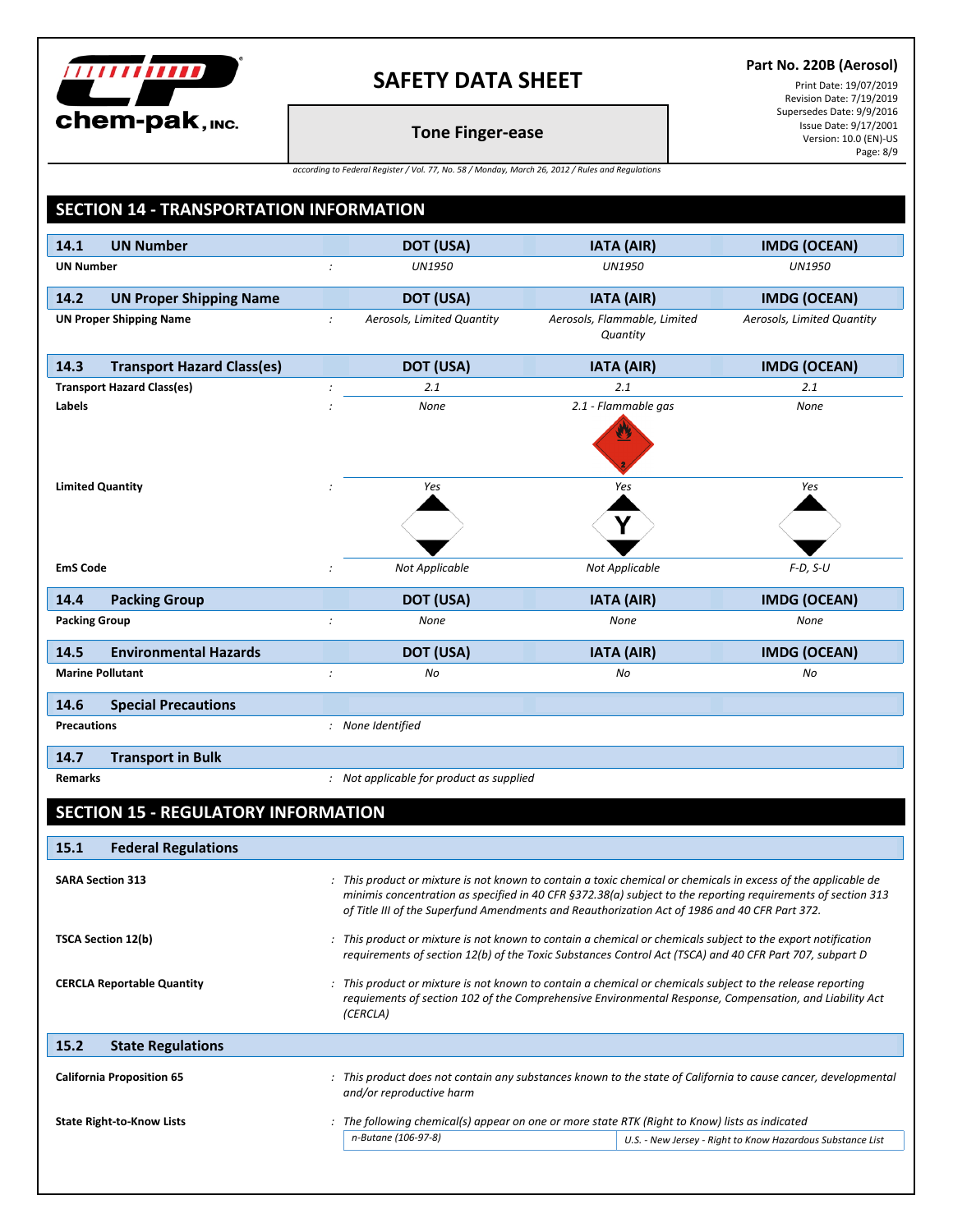

## **Part No. 220B (Aerosol)**

**Tone Finger-ease**

Print Date: 19/07/2019 Revision Date: 7/19/2019 Supersedes Date: 9/9/2016 Issue Date: 9/17/2001 Version: 10.0 (EN)-US Page: 8/9

*according to Federal Register / Vol. 77, No. 58 / Monday, March 26, 2012 / Rules and Regulations*

| 14.1                                                                                                                                                                           | <b>UN Number</b>                           | <b>DOT (USA)</b>                      | <b>IATA (AIR)</b>                                                                                                                                                                                                                                                                                                                   | <b>IMDG (OCEAN)</b>                                        |  |  |
|--------------------------------------------------------------------------------------------------------------------------------------------------------------------------------|--------------------------------------------|---------------------------------------|-------------------------------------------------------------------------------------------------------------------------------------------------------------------------------------------------------------------------------------------------------------------------------------------------------------------------------------|------------------------------------------------------------|--|--|
| <b>UN Number</b>                                                                                                                                                               |                                            | <b>UN1950</b><br>$\cdot$              | <b>UN1950</b>                                                                                                                                                                                                                                                                                                                       | UN1950                                                     |  |  |
|                                                                                                                                                                                |                                            |                                       |                                                                                                                                                                                                                                                                                                                                     |                                                            |  |  |
| 14.2                                                                                                                                                                           | <b>UN Proper Shipping Name</b>             | DOT (USA)                             | <b>IATA (AIR)</b>                                                                                                                                                                                                                                                                                                                   | <b>IMDG (OCEAN)</b>                                        |  |  |
|                                                                                                                                                                                | <b>UN Proper Shipping Name</b>             | Aerosols, Limited Quantity<br>$\cdot$ | Aerosols, Flammable, Limited<br>Quantity                                                                                                                                                                                                                                                                                            | Aerosols, Limited Quantity                                 |  |  |
| 14.3                                                                                                                                                                           | <b>Transport Hazard Class(es)</b>          | <b>DOT (USA)</b>                      | <b>IATA (AIR)</b>                                                                                                                                                                                                                                                                                                                   | <b>IMDG (OCEAN)</b>                                        |  |  |
|                                                                                                                                                                                | <b>Transport Hazard Class(es)</b>          | 2.1                                   | 2.1                                                                                                                                                                                                                                                                                                                                 | 2.1                                                        |  |  |
| Labels                                                                                                                                                                         |                                            | <b>None</b>                           | 2.1 - Flammable gas                                                                                                                                                                                                                                                                                                                 | None                                                       |  |  |
|                                                                                                                                                                                | <b>Limited Quantity</b>                    | Yes                                   | Yes                                                                                                                                                                                                                                                                                                                                 | Yes                                                        |  |  |
|                                                                                                                                                                                |                                            |                                       |                                                                                                                                                                                                                                                                                                                                     |                                                            |  |  |
| <b>EmS Code</b>                                                                                                                                                                |                                            | <b>Not Applicable</b>                 | <b>Not Applicable</b>                                                                                                                                                                                                                                                                                                               | $F-D, S-U$                                                 |  |  |
| 14.4                                                                                                                                                                           | <b>Packing Group</b>                       | <b>DOT (USA)</b>                      | <b>IATA (AIR)</b>                                                                                                                                                                                                                                                                                                                   | <b>IMDG (OCEAN)</b>                                        |  |  |
| <b>Packing Group</b>                                                                                                                                                           |                                            | $\cdot$<br>None                       | None                                                                                                                                                                                                                                                                                                                                | None                                                       |  |  |
| 14.5                                                                                                                                                                           | <b>Environmental Hazards</b>               | DOT (USA)                             | <b>IATA (AIR)</b>                                                                                                                                                                                                                                                                                                                   | <b>IMDG (OCEAN)</b>                                        |  |  |
|                                                                                                                                                                                | <b>Marine Pollutant</b>                    | $\mathcal{L}$<br>No                   | No                                                                                                                                                                                                                                                                                                                                  | No                                                         |  |  |
| 14.6                                                                                                                                                                           | <b>Special Precautions</b>                 |                                       |                                                                                                                                                                                                                                                                                                                                     |                                                            |  |  |
| <b>Precautions</b>                                                                                                                                                             |                                            | : None Identified                     |                                                                                                                                                                                                                                                                                                                                     |                                                            |  |  |
| 14.7                                                                                                                                                                           | <b>Transport in Bulk</b>                   |                                       |                                                                                                                                                                                                                                                                                                                                     |                                                            |  |  |
| <b>Remarks</b>                                                                                                                                                                 |                                            |                                       | : Not applicable for product as supplied                                                                                                                                                                                                                                                                                            |                                                            |  |  |
|                                                                                                                                                                                | <b>SECTION 15 - REGULATORY INFORMATION</b> |                                       |                                                                                                                                                                                                                                                                                                                                     |                                                            |  |  |
| 15.1                                                                                                                                                                           | <b>Federal Regulations</b>                 |                                       |                                                                                                                                                                                                                                                                                                                                     |                                                            |  |  |
|                                                                                                                                                                                | <b>SARA Section 313</b>                    |                                       | : This product or mixture is not known to contain a toxic chemical or chemicals in excess of the applicable de<br>minimis concentration as specified in 40 CFR $\S 372.38(a)$ subject to the reporting requirements of section 313<br>of Title III of the Superfund Amendments and Reauthorization Act of 1986 and 40 CFR Part 372. |                                                            |  |  |
|                                                                                                                                                                                | <b>TSCA Section 12(b)</b>                  |                                       | : This product or mixture is not known to contain a chemical or chemicals subject to the export notification<br>requirements of section 12(b) of the Toxic Substances Control Act (TSCA) and 40 CFR Part 707, subpart D                                                                                                             |                                                            |  |  |
|                                                                                                                                                                                | <b>CERCLA Reportable Quantity</b>          | (CERCLA)                              | : This product or mixture is not known to contain a chemical or chemicals subject to the release reporting<br>requiements of section 102 of the Comprehensive Environmental Response, Compensation, and Liability Act                                                                                                               |                                                            |  |  |
| 15.2                                                                                                                                                                           | <b>State Regulations</b>                   |                                       |                                                                                                                                                                                                                                                                                                                                     |                                                            |  |  |
| <b>California Proposition 65</b><br>: This product does not contain any substances known to the state of California to cause cancer, developmental<br>and/or reproductive harm |                                            |                                       |                                                                                                                                                                                                                                                                                                                                     |                                                            |  |  |
|                                                                                                                                                                                | <b>State Right-to-Know Lists</b>           |                                       | : The following chemical(s) appear on one or more state RTK (Right to Know) lists as indicated                                                                                                                                                                                                                                      |                                                            |  |  |
|                                                                                                                                                                                |                                            | n-Butane (106-97-8)                   |                                                                                                                                                                                                                                                                                                                                     | U.S. - New Jersey - Right to Know Hazardous Substance List |  |  |